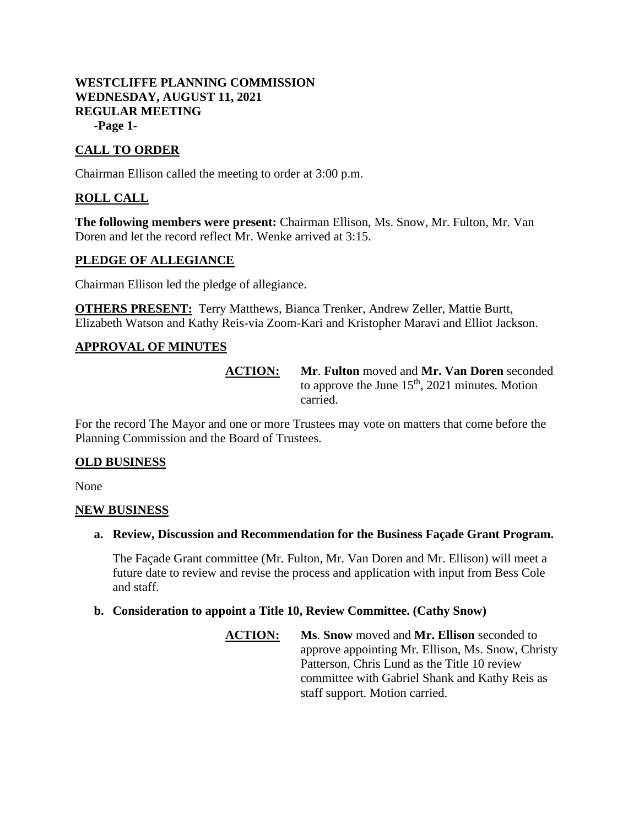## **WESTCLIFFE PLANNING COMMISSION WEDNESDAY, AUGUST 11, 2021 REGULAR MEETING -Page 1-**

# **CALL TO ORDER**

Chairman Ellison called the meeting to order at 3:00 p.m.

# **ROLL CALL**

**The following members were present:** Chairman Ellison, Ms. Snow, Mr. Fulton, Mr. Van Doren and let the record reflect Mr. Wenke arrived at 3:15.

### **PLEDGE OF ALLEGIANCE**

Chairman Ellison led the pledge of allegiance.

**OTHERS PRESENT:** Terry Matthews, Bianca Trenker, Andrew Zeller, Mattie Burtt, Elizabeth Watson and Kathy Reis-via Zoom-Kari and Kristopher Maravi and Elliot Jackson.

## **APPROVAL OF MINUTES**

**ACTION: Mr**. **Fulton** moved and **Mr. Van Doren** seconded to approve the June  $15<sup>th</sup>$ , 2021 minutes. Motion carried.

For the record The Mayor and one or more Trustees may vote on matters that come before the Planning Commission and the Board of Trustees.

#### **OLD BUSINESS**

None

#### **NEW BUSINESS**

**a. Review, Discussion and Recommendation for the Business Façade Grant Program.**

The Façade Grant committee (Mr. Fulton, Mr. Van Doren and Mr. Ellison) will meet a future date to review and revise the process and application with input from Bess Cole and staff.

#### **b. Consideration to appoint a Title 10, Review Committee. (Cathy Snow)**

**ACTION: Ms**. **Snow** moved and **Mr. Ellison** seconded to approve appointing Mr. Ellison, Ms. Snow, Christy Patterson, Chris Lund as the Title 10 review committee with Gabriel Shank and Kathy Reis as staff support. Motion carried.